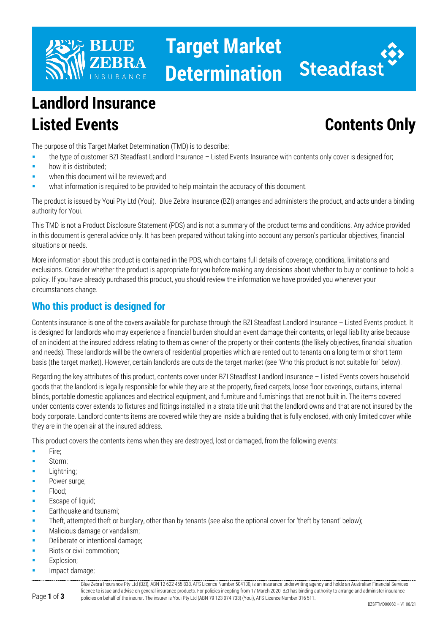

# **Target Market Determination**



## **Landlord Insurance Listed Events Contents Only**

The purpose of this Target Market Determination (TMD) is to describe:

- the type of customer BZI Steadfast Landlord Insurance Listed Events Insurance with contents only cover is designed for;
- how it is distributed;
- when this document will be reviewed; and
- what information is required to be provided to help maintain the accuracy of this document.

The product is issued by Youi Pty Ltd (Youi). Blue Zebra Insurance (BZI) arranges and administers the product, and acts under a binding authority for Youi.

This TMD is not a Product Disclosure Statement (PDS) and is not a summary of the product terms and conditions. Any advice provided in this document is general advice only. It has been prepared without taking into account any person's particular objectives, financial situations or needs.

More information about this product is contained in the PDS, which contains full details of coverage, conditions, limitations and exclusions. Consider whether the product is appropriate for you before making any decisions about whether to buy or continue to hold a policy. If you have already purchased this product, you should review the information we have provided you whenever your circumstances change.

### **Who this product is designed for**

Contents insurance is one of the covers available for purchase through the BZI Steadfast Landlord Insurance – Listed Events product. It is designed for landlords who may experience a financial burden should an event damage their contents, or legal liability arise because of an incident at the insured address relating to them as owner of the property or their contents (the likely objectives, financial situation and needs). These landlords will be the owners of residential properties which are rented out to tenants on a long term or short term basis (the target market). However, certain landlords are outside the target market (see 'Who this product is not suitable for' below).

Regarding the key attributes of this product, contents cover under BZI Steadfast Landlord Insurance – Listed Events covers household goods that the landlord is legally responsible for while they are at the property, fixed carpets, loose floor coverings, curtains, internal blinds, portable domestic appliances and electrical equipment, and furniture and furnishings that are not built in. The items covered under contents cover extends to fixtures and fittings installed in a strata title unit that the landlord owns and that are not insured by the body corporate. Landlord contents items are covered while they are inside a building that is fully enclosed, with only limited cover while they are in the open air at the insured address.

This product covers the contents items when they are destroyed, lost or damaged, from the following events:

- **Fire:**
- Storm;
- Lightning;
- Power surge;
- Flood;
- Escape of liquid:
- Earthquake and tsunami;
- Theft, attempted theft or burglary, other than by tenants (see also the optional cover for 'theft by tenant' below);
- Malicious damage or vandalism;
- Deliberate or intentional damage;
- Riots or civil commotion;
- Explosion;
- Impact damage;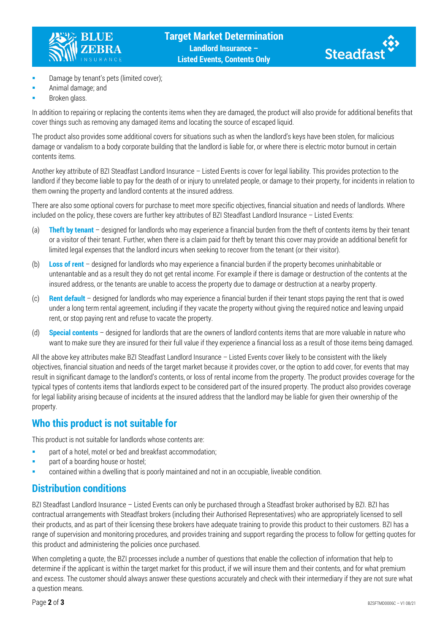



- Damage by tenant's pets (limited cover);
- Animal damage; and
- Broken glass.

In addition to repairing or replacing the contents items when they are damaged, the product will also provide for additional benefits that cover things such as removing any damaged items and locating the source of escaped liquid.

The product also provides some additional covers for situations such as when the landlord's keys have been stolen, for malicious damage or vandalism to a body corporate building that the landlord is liable for, or where there is electric motor burnout in certain contents items.

Another key attribute of BZI Steadfast Landlord Insurance – Listed Events is cover for legal liability. This provides protection to the landlord if they become liable to pay for the death of or injury to unrelated people, or damage to their property, for incidents in relation to them owning the property and landlord contents at the insured address.

There are also some optional covers for purchase to meet more specific objectives, financial situation and needs of landlords. Where included on the policy, these covers are further key attributes of BZI Steadfast Landlord Insurance – Listed Events:

- (a) **Theft by tenant** designed for landlords who may experience a financial burden from the theft of contents items by their tenant or a visitor of their tenant. Further, when there is a claim paid for theft by tenant this cover may provide an additional benefit for limited legal expenses that the landlord incurs when seeking to recover from the tenant (or their visitor).
- (b) **Loss of rent** designed for landlords who may experience a financial burden if the property becomes uninhabitable or untenantable and as a result they do not get rental income. For example if there is damage or destruction of the contents at the insured address, or the tenants are unable to access the property due to damage or destruction at a nearby property.
- (c) **Rent default** designed for landlords who may experience a financial burden if their tenant stops paying the rent that is owed under a long term rental agreement, including if they vacate the property without giving the required notice and leaving unpaid rent, or stop paying rent and refuse to vacate the property.
- (d) **Special contents** designed for landlords that are the owners of landlord contents items that are more valuable in nature who want to make sure they are insured for their full value if they experience a financial loss as a result of those items being damaged.

All the above key attributes make BZI Steadfast Landlord Insurance – Listed Events cover likely to be consistent with the likely objectives, financial situation and needs of the target market because it provides cover, or the option to add cover, for events that may result in significant damage to the landlord's contents, or loss of rental income from the property. The product provides coverage for the typical types of contents items that landlords expect to be considered part of the insured property. The product also provides coverage for legal liability arising because of incidents at the insured address that the landlord may be liable for given their ownership of the property.

### **Who this product is not suitable for**

This product is not suitable for landlords whose contents are:

- **Part of a hotel, motel or bed and breakfast accommodation;**
- **part of a boarding house or hostel;**
- contained within a dwelling that is poorly maintained and not in an occupiable, liveable condition.

### **Distribution conditions**

BZI Steadfast Landlord Insurance – Listed Events can only be purchased through a Steadfast broker authorised by BZI. BZI has contractual arrangements with Steadfast brokers (including their Authorised Representatives) who are appropriately licensed to sell their products, and as part of their licensing these brokers have adequate training to provide this product to their customers. BZI has a range of supervision and monitoring procedures, and provides training and support regarding the process to follow for getting quotes for this product and administering the policies once purchased.

When completing a quote, the BZI processes include a number of questions that enable the collection of information that help to determine if the applicant is within the target market for this product, if we will insure them and their contents, and for what premium and excess. The customer should always answer these questions accurately and check with their intermediary if they are not sure what a question means.